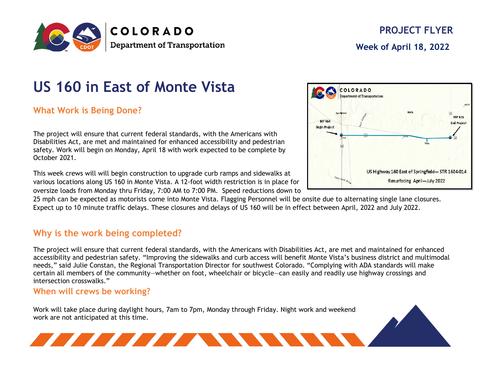

# **US 160 in East of Monte Vista**

**What Work is Being Done?**

The project will ensure that current federal standards, with the Americans with Disabilities Act, are met and maintained for enhanced accessibility and pedestrian safety. Work will begin on Monday, April 18 with work expected to be complete by October 2021.

This week crews will will begin construction to upgrade curb ramps and sidewalks at various locations along US 160 in Monte Vista. A 12-foot width restriction is in place for oversize loads from Monday thru Friday, 7:00 AM to 7:00 PM. Speed reductions down to

25 mph can be expected as motorists come into Monte Vista. Flagging Personnel will be onsite due to alternating single lane closures. Expect up to 10 minute traffic delays. These closures and delays of US 160 will be in effect between April, 2022 and July 2022.

### **Why is the work being completed?**

The project will ensure that current federal standards, with the Americans with Disabilities Act, are met and maintained for enhanced accessibility and pedestrian safety. "Improving the sidewalks and curb access will benefit Monte Vista's business district and multimodal needs," said Julie Constan, the Regional Transportation Director for southwest Colorado. "Complying with ADA standards will make certain all members of the community—whether on foot, wheelchair or bicycle—can easily and readily use highway crossings and intersection crosswalks."

#### **When will crews be working?**

Work will take place during daylight hours, 7am to 7pm, Monday through Friday. Night work and weekend work are not anticipated at this time.